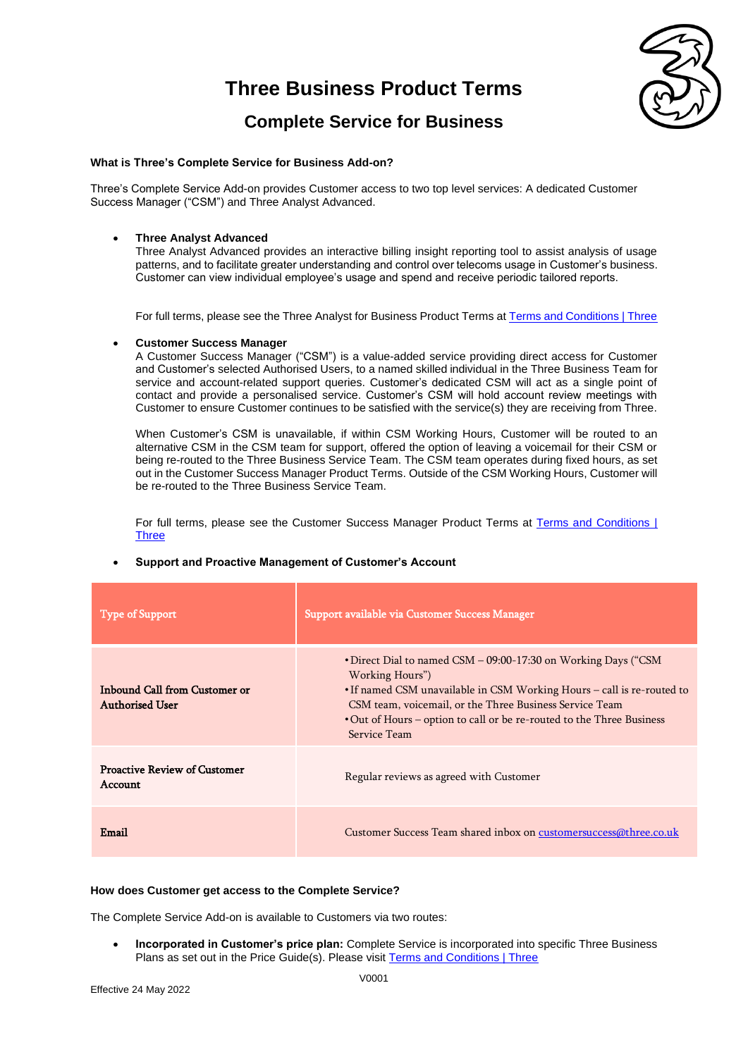

### **Complete Service for Business**

### **What is Three's Complete Service for Business Add-on?**

Three's Complete Service Add-on provides Customer access to two top level services: A dedicated Customer Success Manager ("CSM") and Three Analyst Advanced.

### • **Three Analyst Advanced**

Three Analyst Advanced provides an interactive billing insight reporting tool to assist analysis of usage patterns, and to facilitate greater understanding and control over telecoms usage in Customer's business. Customer can view individual employee's usage and spend and receive periodic tailored reports.

For full terms, please see the Three Analyst for Business Product Terms a[t Terms and Conditions | Three](https://www.three.co.uk/terms-conditions)

### • **Customer Success Manager**

A Customer Success Manager ("CSM") is a value-added service providing direct access for Customer and Customer's selected Authorised Users, to a named skilled individual in the Three Business Team for service and account-related support queries. Customer's dedicated CSM will act as a single point of contact and provide a personalised service. Customer's CSM will hold account review meetings with Customer to ensure Customer continues to be satisfied with the service(s) they are receiving from Three.

When Customer's CSM is unavailable, if within CSM Working Hours, Customer will be routed to an alternative CSM in the CSM team for support, offered the option of leaving a voicemail for their CSM or being re-routed to the Three Business Service Team. The CSM team operates during fixed hours, as set out in the Customer Success Manager Product Terms. Outside of the CSM Working Hours, Customer will be re-routed to the Three Business Service Team.

For full terms, please see the Customer Success Manager Product Terms at Terms and Conditions | **[Three](https://www.three.co.uk/terms-conditions)** 

## Type of Support Support Support Support available via Customer Success Manager Inbound Call from Customer or Authorised User •Direct Dial to named CSM – 09:00-17:30 on Working Days ("CSM Working Hours") •If named CSM unavailable in CSM Working Hours – call is re-routed to CSM team, voicemail, or the Three Business Service Team •Out of Hours – option to call or be re-routed to the Three Business Service Team Proactive Review of Customer Account Account Regular reviews as agreed with Customer Email Customer Success Team shared inbox on [customersuccess@three.co.uk](mailto:customersuccess@three.co.uk)

### • **Support and Proactive Management of Customer's Account**

#### **How does Customer get access to the Complete Service?**

The Complete Service Add-on is available to Customers via two routes:

• **Incorporated in Customer's price plan:** Complete Service is incorporated into specific Three Business Plans as set out in the Price Guide(s). Please visi[t Terms and Conditions | Three](https://www.three.co.uk/terms-conditions)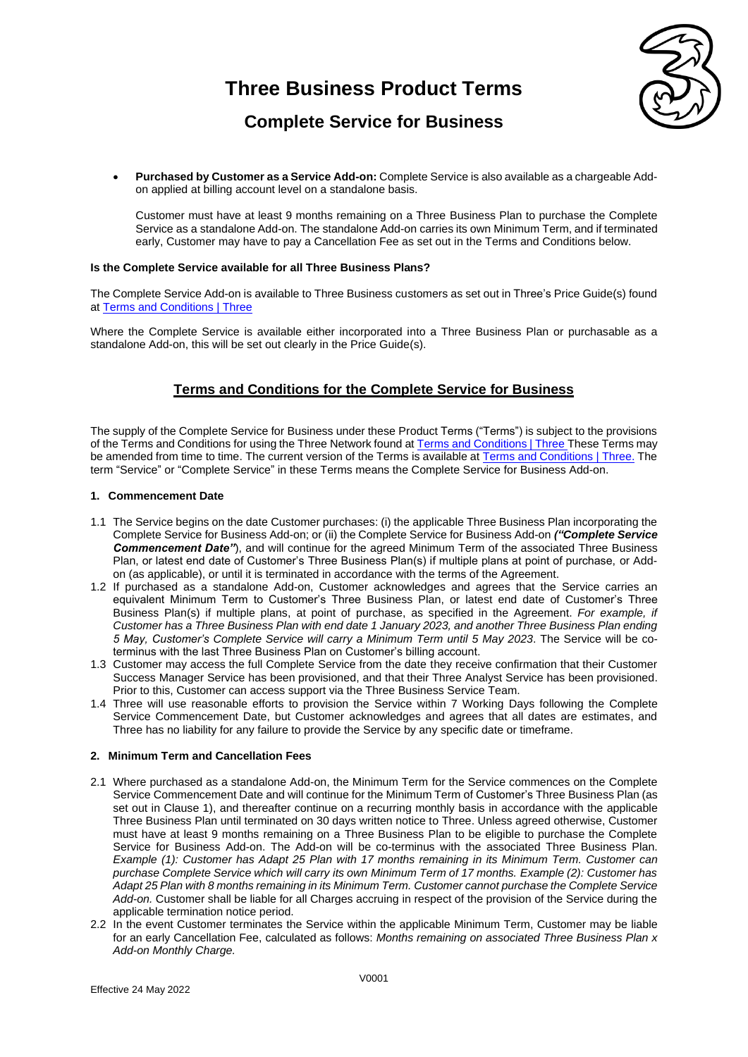

### **Complete Service for Business**

• **Purchased by Customer as a Service Add-on:** Complete Service is also available as a chargeable Addon applied at billing account level on a standalone basis.

Customer must have at least 9 months remaining on a Three Business Plan to purchase the Complete Service as a standalone Add-on. The standalone Add-on carries its own Minimum Term, and if terminated early, Customer may have to pay a Cancellation Fee as set out in the Terms and Conditions below.

### **Is the Complete Service available for all Three Business Plans?**

The Complete Service Add-on is available to Three Business customers as set out in Three's Price Guide(s) found at [Terms and Conditions | Three](https://www.three.co.uk/terms-conditions)

Where the Complete Service is available either incorporated into a Three Business Plan or purchasable as a standalone Add-on, this will be set out clearly in the Price Guide(s).

### **Terms and Conditions for the Complete Service for Business**

The supply of the Complete Service for Business under these Product Terms ("Terms") is subject to the provisions of the Terms and Conditions for using the Three Network found at [Terms and Conditions | Three](https://www.three.co.uk/terms-conditions) These Terms may be amended from time to time. The current version of the Terms is available at [Terms and Conditions | Three.](https://www.three.co.uk/terms-conditions) The term "Service" or "Complete Service" in these Terms means the Complete Service for Business Add-on.

### **1. Commencement Date**

- 1.1 The Service begins on the date Customer purchases: (i) the applicable Three Business Plan incorporating the Complete Service for Business Add-on; or (ii) the Complete Service for Business Add-on *("Complete Service Commencement Date"*), and will continue for the agreed Minimum Term of the associated Three Business Plan, or latest end date of Customer's Three Business Plan(s) if multiple plans at point of purchase, or Addon (as applicable), or until it is terminated in accordance with the terms of the Agreement.
- 1.2 If purchased as a standalone Add-on, Customer acknowledges and agrees that the Service carries an equivalent Minimum Term to Customer's Three Business Plan, or latest end date of Customer's Three Business Plan(s) if multiple plans, at point of purchase, as specified in the Agreement. *For example, if Customer has a Three Business Plan with end date 1 January 2023, and another Three Business Plan ending 5 May, Customer's Complete Service will carry a Minimum Term until 5 May 2023*. The Service will be coterminus with the last Three Business Plan on Customer's billing account.
- 1.3 Customer may access the full Complete Service from the date they receive confirmation that their Customer Success Manager Service has been provisioned, and that their Three Analyst Service has been provisioned. Prior to this, Customer can access support via the Three Business Service Team.
- 1.4 Three will use reasonable efforts to provision the Service within 7 Working Days following the Complete Service Commencement Date, but Customer acknowledges and agrees that all dates are estimates, and Three has no liability for any failure to provide the Service by any specific date or timeframe.

### **2. Minimum Term and Cancellation Fees**

- 2.1 Where purchased as a standalone Add-on, the Minimum Term for the Service commences on the Complete Service Commencement Date and will continue for the Minimum Term of Customer's Three Business Plan (as set out in Clause 1), and thereafter continue on a recurring monthly basis in accordance with the applicable Three Business Plan until terminated on 30 days written notice to Three. Unless agreed otherwise, Customer must have at least 9 months remaining on a Three Business Plan to be eligible to purchase the Complete Service for Business Add-on. The Add-on will be co-terminus with the associated Three Business Plan. *Example (1): Customer has Adapt 25 Plan with 17 months remaining in its Minimum Term. Customer can purchase Complete Service which will carry its own Minimum Term of 17 months. Example (2): Customer has Adapt 25 Plan with 8 months remaining in its Minimum Term. Customer cannot purchase the Complete Service Add-on.* Customer shall be liable for all Charges accruing in respect of the provision of the Service during the applicable termination notice period.
- 2.2 In the event Customer terminates the Service within the applicable Minimum Term, Customer may be liable for an early Cancellation Fee, calculated as follows: *Months remaining on associated Three Business Plan x Add-on Monthly Charge.*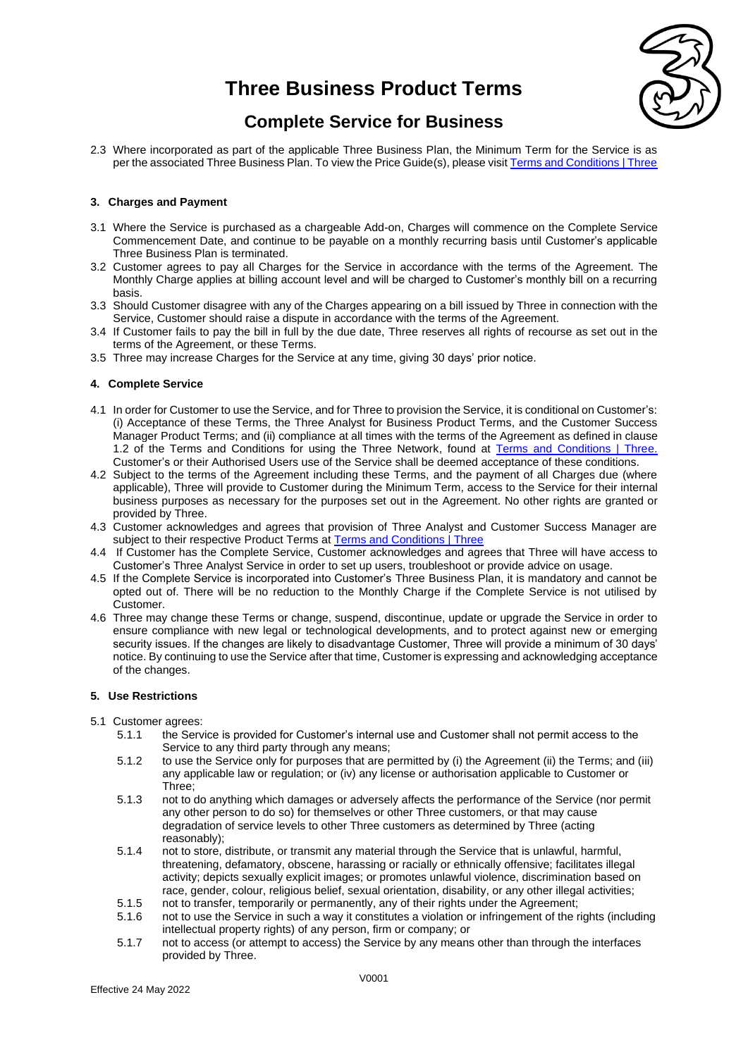

### **Complete Service for Business**

2.3 Where incorporated as part of the applicable Three Business Plan, the Minimum Term for the Service is as per the associated Three Business Plan. To view the Price Guide(s), please visi[t Terms and Conditions | Three](https://www.three.co.uk/terms-conditions)

### **3. Charges and Payment**

- 3.1 Where the Service is purchased as a chargeable Add-on, Charges will commence on the Complete Service Commencement Date, and continue to be payable on a monthly recurring basis until Customer's applicable Three Business Plan is terminated.
- 3.2 Customer agrees to pay all Charges for the Service in accordance with the terms of the Agreement. The Monthly Charge applies at billing account level and will be charged to Customer's monthly bill on a recurring basis.
- 3.3 Should Customer disagree with any of the Charges appearing on a bill issued by Three in connection with the Service, Customer should raise a dispute in accordance with the terms of the Agreement.
- 3.4 If Customer fails to pay the bill in full by the due date, Three reserves all rights of recourse as set out in the terms of the Agreement, or these Terms.
- 3.5 Three may increase Charges for the Service at any time, giving 30 days' prior notice.

### **4. Complete Service**

- 4.1 In order for Customer to use the Service, and for Three to provision the Service, it is conditional on Customer's: (i) Acceptance of these Terms, the Three Analyst for Business Product Terms, and the Customer Success Manager Product Terms; and (ii) compliance at all times with the terms of the Agreement as defined in clause 1.2 of the Terms and Conditions for using the Three Network, found at [Terms and Conditions | Three.](https://www.three.co.uk/terms-conditions) Customer's or their Authorised Users use of the Service shall be deemed acceptance of these conditions.
- 4.2 Subject to the terms of the Agreement including these Terms, and the payment of all Charges due (where applicable), Three will provide to Customer during the Minimum Term, access to the Service for their internal business purposes as necessary for the purposes set out in the Agreement. No other rights are granted or provided by Three.
- 4.3 Customer acknowledges and agrees that provision of Three Analyst and Customer Success Manager are subject to their respective Product Terms at [Terms and Conditions | Three](https://www.three.co.uk/terms-conditions)
- 4.4 If Customer has the Complete Service, Customer acknowledges and agrees that Three will have access to Customer's Three Analyst Service in order to set up users, troubleshoot or provide advice on usage.
- 4.5 If the Complete Service is incorporated into Customer's Three Business Plan, it is mandatory and cannot be opted out of. There will be no reduction to the Monthly Charge if the Complete Service is not utilised by Customer.
- 4.6 Three may change these Terms or change, suspend, discontinue, update or upgrade the Service in order to ensure compliance with new legal or technological developments, and to protect against new or emerging security issues. If the changes are likely to disadvantage Customer, Three will provide a minimum of 30 days' notice. By continuing to use the Service after that time, Customer is expressing and acknowledging acceptance of the changes.

### **5. Use Restrictions**

- 5.1 Customer agrees:
	- 5.1.1 the Service is provided for Customer's internal use and Customer shall not permit access to the Service to any third party through any means;
	- 5.1.2 to use the Service only for purposes that are permitted by (i) the Agreement (ii) the Terms; and (iii) any applicable law or regulation; or (iv) any license or authorisation applicable to Customer or Three;
	- 5.1.3 not to do anything which damages or adversely affects the performance of the Service (nor permit any other person to do so) for themselves or other Three customers, or that may cause degradation of service levels to other Three customers as determined by Three (acting reasonably);
	- 5.1.4 not to store, distribute, or transmit any material through the Service that is unlawful, harmful, threatening, defamatory, obscene, harassing or racially or ethnically offensive; facilitates illegal activity; depicts sexually explicit images; or promotes unlawful violence, discrimination based on race, gender, colour, religious belief, sexual orientation, disability, or any other illegal activities;
	- 5.1.5 not to transfer, temporarily or permanently, any of their rights under the Agreement;
	- 5.1.6 not to use the Service in such a way it constitutes a violation or infringement of the rights (including intellectual property rights) of any person, firm or company; or
	- 5.1.7 not to access (or attempt to access) the Service by any means other than through the interfaces provided by Three.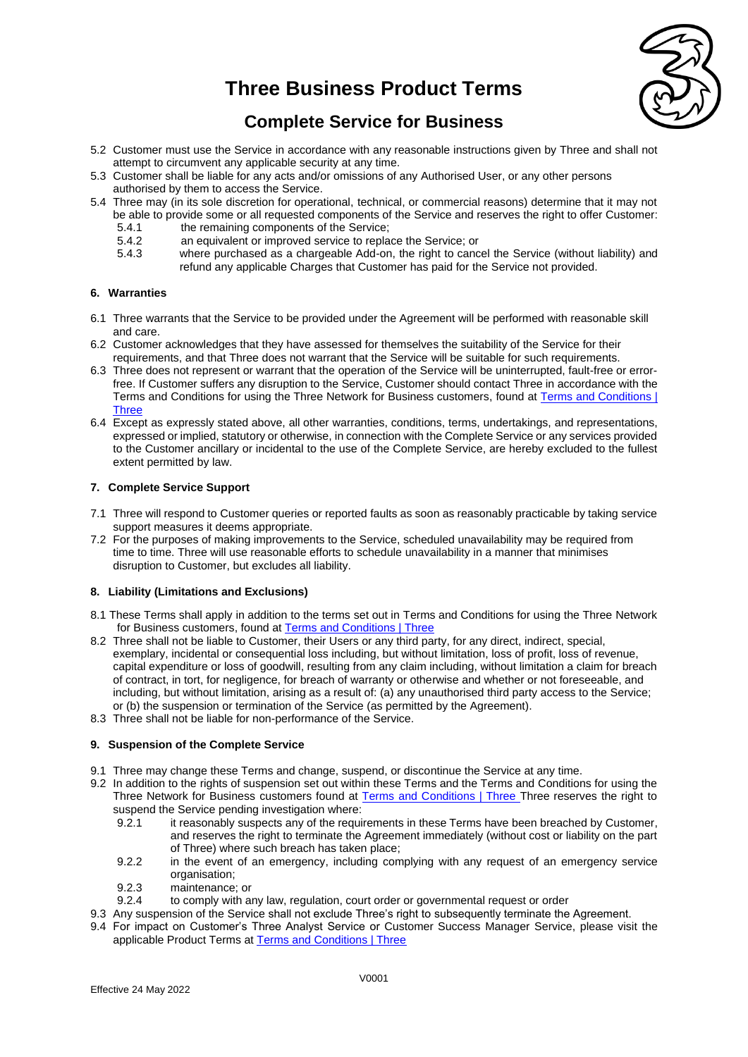

## **Complete Service for Business**

- 5.2 Customer must use the Service in accordance with any reasonable instructions given by Three and shall not attempt to circumvent any applicable security at any time.
- 5.3 Customer shall be liable for any acts and/or omissions of any Authorised User, or any other persons authorised by them to access the Service.
- 5.4 Three may (in its sole discretion for operational, technical, or commercial reasons) determine that it may not be able to provide some or all requested components of the Service and reserves the right to offer Customer:
	- 5.4.1 the remaining components of the Service;<br>5.4.2 an equivalent or improved service to repla
	- 5.4.2 an equivalent or improved service to replace the Service; or<br>5.4.3 where purchased as a chargeable Add-on, the right to cand
	- where purchased as a chargeable Add-on, the right to cancel the Service (without liability) and refund any applicable Charges that Customer has paid for the Service not provided.

### **6. Warranties**

- 6.1 Three warrants that the Service to be provided under the Agreement will be performed with reasonable skill and care.
- 6.2 Customer acknowledges that they have assessed for themselves the suitability of the Service for their requirements, and that Three does not warrant that the Service will be suitable for such requirements.
- 6.3 Three does not represent or warrant that the operation of the Service will be uninterrupted, fault-free or errorfree. If Customer suffers any disruption to the Service, Customer should contact Three in accordance with the Terms and Conditions for using the Three Network for Business customers, found at [Terms and Conditions |](https://www.three.co.uk/terms-conditions)  **[Three](https://www.three.co.uk/terms-conditions)**
- 6.4 Except as expressly stated above, all other warranties, conditions, terms, undertakings, and representations, expressed or implied, statutory or otherwise, in connection with the Complete Service or any services provided to the Customer ancillary or incidental to the use of the Complete Service, are hereby excluded to the fullest extent permitted by law.

### **7. Complete Service Support**

- 7.1 Three will respond to Customer queries or reported faults as soon as reasonably practicable by taking service support measures it deems appropriate.
- 7.2 For the purposes of making improvements to the Service, scheduled unavailability may be required from time to time. Three will use reasonable efforts to schedule unavailability in a manner that minimises disruption to Customer, but excludes all liability.

### **8. Liability (Limitations and Exclusions)**

- 8.1 These Terms shall apply in addition to the terms set out in Terms and Conditions for using the Three Network for Business customers, found at [Terms and Conditions | Three](https://www.three.co.uk/terms-conditions)
- 8.2 Three shall not be liable to Customer, their Users or any third party, for any direct, indirect, special, exemplary, incidental or consequential loss including, but without limitation, loss of profit, loss of revenue, capital expenditure or loss of goodwill, resulting from any claim including, without limitation a claim for breach of contract, in tort, for negligence, for breach of warranty or otherwise and whether or not foreseeable, and including, but without limitation, arising as a result of: (a) any unauthorised third party access to the Service; or (b) the suspension or termination of the Service (as permitted by the Agreement).
- 8.3 Three shall not be liable for non-performance of the Service.

### **9. Suspension of the Complete Service**

- 9.1 Three may change these Terms and change, suspend, or discontinue the Service at any time.
- 9.2 In addition to the rights of suspension set out within these Terms and the Terms and Conditions for using the Three Network for Business customers found at [Terms and Conditions | Three](https://www.three.co.uk/terms-conditions) Three reserves the right to suspend the Service pending investigation where:
	- 9.2.1 it reasonably suspects any of the requirements in these Terms have been breached by Customer, and reserves the right to terminate the Agreement immediately (without cost or liability on the part of Three) where such breach has taken place;
	- 9.2.2 in the event of an emergency, including complying with any request of an emergency service organisation:
	- 9.2.3 maintenance; or
	- 9.2.4 to comply with any law, regulation, court order or governmental request or order
- 9.3 Any suspension of the Service shall not exclude Three's right to subsequently terminate the Agreement.
- 9.4 For impact on Customer's Three Analyst Service or Customer Success Manager Service, please visit the applicable Product Terms a[t Terms and Conditions | Three](https://www.three.co.uk/terms-conditions)